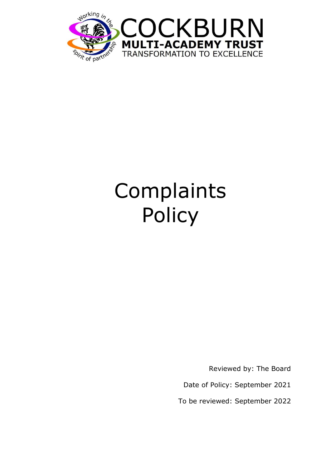

# Complaints Policy

Reviewed by: The Board

Date of Policy: September 2021

To be reviewed: September 2022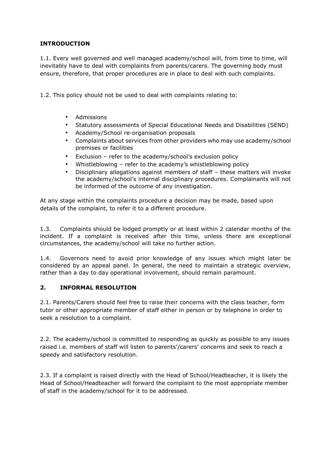## **INTRODUCTION**

1.1. Every well governed and well managed academy/school will, from time to time, will inevitably have to deal with complaints from parents/carers. The governing body must ensure, therefore, that proper procedures are in place to deal with such complaints.

1.2. This policy should not be used to deal with complaints relating to:

- Admissions
- Statutory assessments of Special Educational Needs and Disabilities (SEND)
- Academy/School re-organisation proposals
- Complaints about services from other providers who may use academy/school premises or facilities
- Exclusion refer to the academy/school's exclusion policy
- Whistleblowing refer to the academy's whistleblowing policy
- Disciplinary allegations against members of staff these matters will invoke the academy/school's internal disciplinary procedures. Complainants will not be informed of the outcome of any investigation.

At any stage within the complaints procedure a decision may be made, based upon details of the complaint, to refer it to a different procedure.

1.3. Complaints should be lodged promptly or at least within 2 calendar months of the incident. If a complaint is received after this time, unless there are exceptional circumstances, the academy/school will take no further action.

1.4. Governors need to avoid prior knowledge of any issues which might later be considered by an appeal panel. In general, the need to maintain a strategic overview, rather than a day to day operational involvement, should remain paramount.

#### **2. INFORMAL RESOLUTION**

2.1. Parents/Carers should feel free to raise their concerns with the class teacher, form tutor or other appropriate member of staff either in person or by telephone in order to seek a resolution to a complaint.

2.2. The academy/school is committed to responding as quickly as possible to any issues raised i.e. members of staff will listen to parents'/carers' concerns and seek to reach a speedy and satisfactory resolution.

2.3. If a complaint is raised directly with the Head of School/Headteacher, it is likely the Head of School/Headteacher will forward the complaint to the most appropriate member of staff in the academy/school for it to be addressed.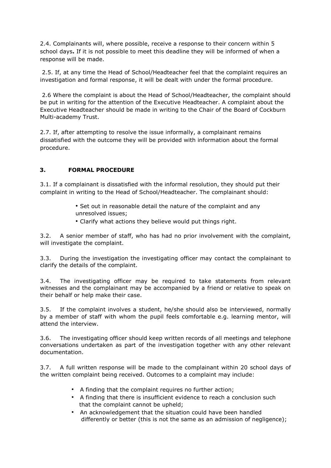2.4. Complainants will, where possible, receive a response to their concern within 5 school days**.** If it is not possible to meet this deadline they will be informed of when a response will be made.

2.5. If, at any time the Head of School/Headteacher feel that the complaint requires an investigation and formal response, it will be dealt with under the formal procedure.

2.6 Where the complaint is about the Head of School/Headteacher, the complaint should be put in writing for the attention of the Executive Headteacher. A complaint about the Executive Headteacher should be made in writing to the Chair of the Board of Cockburn Multi-academy Trust.

2.7. If, after attempting to resolve the issue informally, a complainant remains dissatisfied with the outcome they will be provided with information about the formal procedure.

# **3. FORMAL PROCEDURE**

3.1. If a complainant is dissatisfied with the informal resolution, they should put their complaint in writing to the Head of School/Headteacher. The complainant should:

- Set out in reasonable detail the nature of the complaint and any unresolved issues;
- Clarify what actions they believe would put things right.

3.2. A senior member of staff, who has had no prior involvement with the complaint, will investigate the complaint.

3.3. During the investigation the investigating officer may contact the complainant to clarify the details of the complaint.

3.4. The investigating officer may be required to take statements from relevant witnesses and the complainant may be accompanied by a friend or relative to speak on their behalf or help make their case.

3.5. If the complaint involves a student, he/she should also be interviewed, normally by a member of staff with whom the pupil feels comfortable e.g. learning mentor, will attend the interview.

3.6. The investigating officer should keep written records of all meetings and telephone conversations undertaken as part of the investigation together with any other relevant documentation.

3.7. A full written response will be made to the complainant within 20 school days of the written complaint being received. Outcomes to a complaint may include:

- A finding that the complaint requires no further action;
- A finding that there is insufficient evidence to reach a conclusion such that the complaint cannot be upheld;
- An acknowledgement that the situation could have been handled differently or better (this is not the same as an admission of negligence);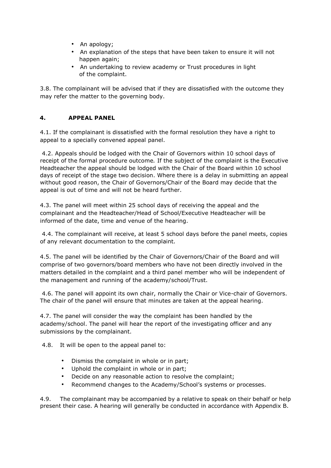- An apology;
- An explanation of the steps that have been taken to ensure it will not happen again;
- An undertaking to review academy or Trust procedures in light of the complaint.

3.8. The complainant will be advised that if they are dissatisfied with the outcome they may refer the matter to the governing body.

## **4. APPEAL PANEL**

4.1. If the complainant is dissatisfied with the formal resolution they have a right to appeal to a specially convened appeal panel.

4.2. Appeals should be lodged with the Chair of Governors within 10 school days of receipt of the formal procedure outcome*.* If the subject of the complaint is the Executive Headteacher the appeal should be lodged with the Chair of the Board within 10 school days of receipt of the stage two decision. Where there is a delay in submitting an appeal without good reason, the Chair of Governors/Chair of the Board may decide that the appeal is out of time and will not be heard further.

4.3. The panel will meet within 25 school days of receiving the appeal and the complainant and the Headteacher/Head of School/Executive Headteacher will be informed of the date, time and venue of the hearing.

4.4. The complainant will receive, at least 5 school days before the panel meets, copies of any relevant documentation to the complaint.

4.5. The panel will be identified by the Chair of Governors/Chair of the Board and will comprise of two governors/board members who have not been directly involved in the matters detailed in the complaint and a third panel member who will be independent of the management and running of the academy/school/Trust.

4.6. The panel will appoint its own chair, normally the Chair or Vice-chair of Governors. The chair of the panel will ensure that minutes are taken at the appeal hearing.

4.7. The panel will consider the way the complaint has been handled by the academy/school. The panel will hear the report of the investigating officer and any submissions by the complainant.

4.8. It will be open to the appeal panel to:

- Dismiss the complaint in whole or in part;
- Uphold the complaint in whole or in part;
- Decide on any reasonable action to resolve the complaint;
- Recommend changes to the Academy/School's systems or processes.

4.9. The complainant may be accompanied by a relative to speak on their behalf or help present their case. A hearing will generally be conducted in accordance with Appendix B.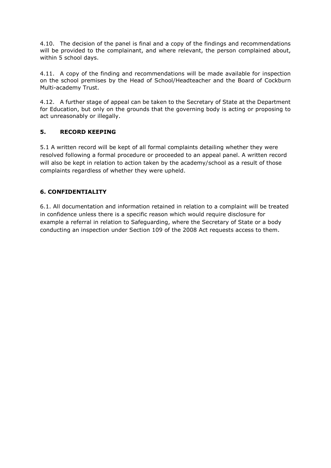4.10. The decision of the panel is final and a copy of the findings and recommendations will be provided to the complainant, and where relevant, the person complained about, within 5 school days.

4.11. A copy of the finding and recommendations will be made available for inspection on the school premises by the Head of School/Headteacher and the Board of Cockburn Multi-academy Trust.

4.12. A further stage of appeal can be taken to the Secretary of State at the Department for Education, but only on the grounds that the governing body is acting or proposing to act unreasonably or illegally.

## **5. RECORD KEEPING**

5.1 A written record will be kept of all formal complaints detailing whether they were resolved following a formal procedure or proceeded to an appeal panel. A written record will also be kept in relation to action taken by the academy/school as a result of those complaints regardless of whether they were upheld.

# **6. CONFIDENTIALITY**

6.1. All documentation and information retained in relation to a complaint will be treated in confidence unless there is a specific reason which would require disclosure for example a referral in relation to Safeguarding, where the Secretary of State or a body conducting an inspection under Section 109 of the 2008 Act requests access to them.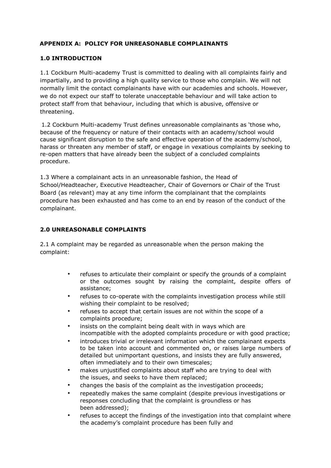## **APPENDIX A: POLICY FOR UNREASONABLE COMPLAINANTS**

#### **1.0 INTRODUCTION**

1.1 Cockburn Multi-academy Trust is committed to dealing with all complaints fairly and impartially, and to providing a high quality service to those who complain. We will not normally limit the contact complainants have with our academies and schools. However, we do not expect our staff to tolerate unacceptable behaviour and will take action to protect staff from that behaviour, including that which is abusive, offensive or threatening.

1.2 Cockburn Multi-academy Trust defines unreasonable complainants as 'those who, because of the frequency or nature of their contacts with an academy/school would cause significant disruption to the safe and effective operation of the academy/school, harass or threaten any member of staff, or engage in vexatious complaints by seeking to re-open matters that have already been the subject of a concluded complaints procedure.

1.3 Where a complainant acts in an unreasonable fashion, the Head of School/Headteacher, Executive Headteacher, Chair of Governors or Chair of the Trust Board (as relevant) may at any time inform the complainant that the complaints procedure has been exhausted and has come to an end by reason of the conduct of the complainant.

#### **2.0 UNREASONABLE COMPLAINTS**

2.1 A complaint may be regarded as unreasonable when the person making the complaint:

- refuses to articulate their complaint or specify the grounds of a complaint or the outcomes sought by raising the complaint, despite offers of assistance;
- refuses to co-operate with the complaints investigation process while still wishing their complaint to be resolved;
- refuses to accept that certain issues are not within the scope of a complaints procedure;
- insists on the complaint being dealt with in ways which are incompatible with the adopted complaints procedure or with good practice;
- introduces trivial or irrelevant information which the complainant expects to be taken into account and commented on, or raises large numbers of detailed but unimportant questions, and insists they are fully answered, often immediately and to their own timescales;
- makes unjustified complaints about staff who are trying to deal with the issues, and seeks to have them replaced;
- changes the basis of the complaint as the investigation proceeds;
- repeatedly makes the same complaint (despite previous investigations or responses concluding that the complaint is groundless or has been addressed);
- refuses to accept the findings of the investigation into that complaint where the academy's complaint procedure has been fully and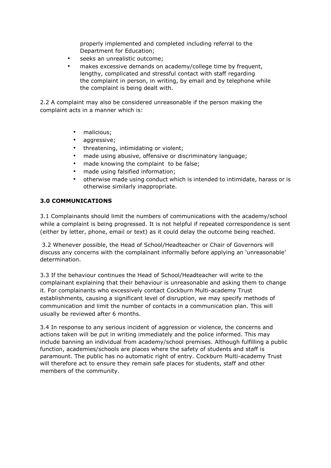properly implemented and completed including referral to the Department for Education;

- seeks an unrealistic outcome;
- makes excessive demands on academy/college time by frequent, lengthy, complicated and stressful contact with staff regarding the complaint in person, in writing, by email and by telephone while the complaint is being dealt with.

2.2 A complaint may also be considered unreasonable if the person making the complaint acts in a manner which is:

- malicious;
- aggressive;
- threatening, intimidating or violent;
- made using abusive, offensive or discriminatory language;
- made knowing the complaint to be false;
- made using falsified information;
- otherwise made using conduct which is intended to intimidate, harass or is otherwise similarly inappropriate.

#### **3.0 COMMUNICATIONS**

3.1 Complainants should limit the numbers of communications with the academy/school while a complaint is being progressed. It is not helpful if repeated correspondence is sent (either by letter, phone, email or text) as it could delay the outcome being reached.

3.2 Whenever possible, the Head of School/Headteacher or Chair of Governors will discuss any concerns with the complainant informally before applying an 'unreasonable' determination.

3.3 If the behaviour continues the Head of School/Headteacher will write to the complainant explaining that their behaviour is unreasonable and asking them to change it. For complainants who excessively contact Cockburn Multi-academy Trust establishments, causing a significant level of disruption, we may specify methods of communication and limit the number of contacts in a communication plan. This will usually be reviewed after 6 months.

3.4 In response to any serious incident of aggression or violence, the concerns and actions taken will be put in writing immediately and the police informed. This may include banning an individual from academy/school premises. Although fulfilling a public function, academies/schools are places where the safety of students and staff is paramount. The public has no automatic right of entry. Cockburn Multi-academy Trust will therefore act to ensure they remain safe places for students, staff and other members of the community.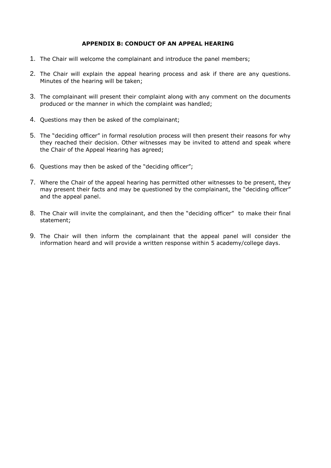#### **APPENDIX B: CONDUCT OF AN APPEAL HEARING**

- 1. The Chair will welcome the complainant and introduce the panel members;
- 2. The Chair will explain the appeal hearing process and ask if there are any questions. Minutes of the hearing will be taken;
- 3. The complainant will present their complaint along with any comment on the documents produced or the manner in which the complaint was handled;
- 4. Questions may then be asked of the complainant;
- 5. The "deciding officer" in formal resolution process will then present their reasons for why they reached their decision. Other witnesses may be invited to attend and speak where the Chair of the Appeal Hearing has agreed;
- 6. Questions may then be asked of the "deciding officer";
- 7. Where the Chair of the appeal hearing has permitted other witnesses to be present, they may present their facts and may be questioned by the complainant, the "deciding officer" and the appeal panel.
- 8. The Chair will invite the complainant, and then the "deciding officer" to make their final statement;
- 9. The Chair will then inform the complainant that the appeal panel will consider the information heard and will provide a written response within 5 academy/college days.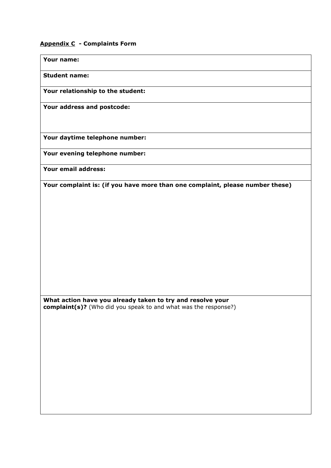## **Appendix C - Complaints Form**

**Your name:** 

**Student name:** 

**Your relationship to the student:** 

**Your address and postcode:** 

**Your daytime telephone number:** 

**Your evening telephone number:** 

**Your email address:** 

**Your complaint is: (if you have more than one complaint, please number these)** 

**What action have you already taken to try and resolve your complaint(s)?** (Who did you speak to and what was the response?)